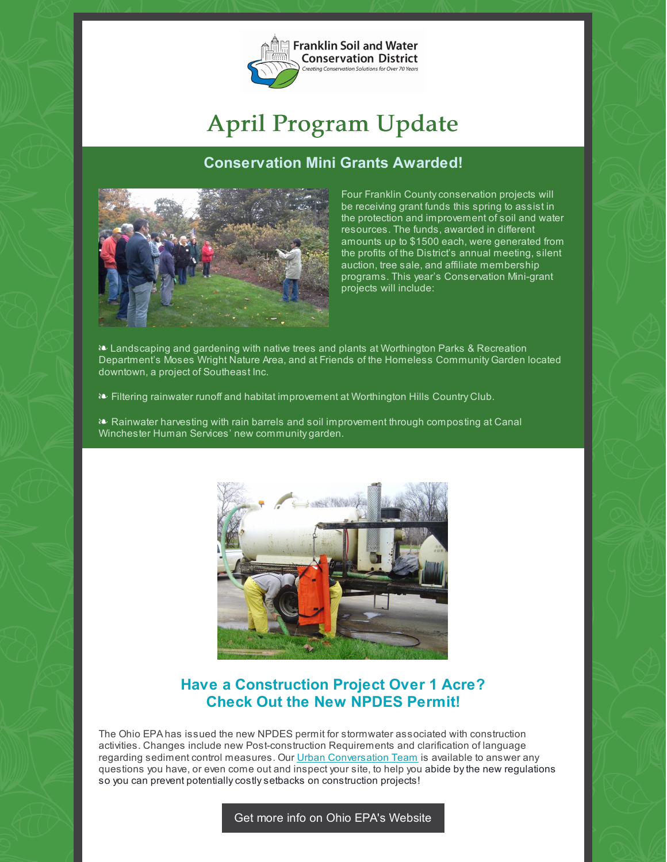

# April Program Update

## **Conservation Mini Grants Awarded!**



Four Franklin Countyconservation projects will be receiving grant funds this spring to assist in the protection and improvement of soil and water resources. The funds, awarded in different amounts up to \$1500 each, were generated from the profits of the District's annual meeting, silent auction, tree sale, and affiliate membership programs. This year's Conservation Mini-grant projects will include:

§ Landscaping and gardening with native trees and plants at Worthington Parks & Recreation Department's Moses Wright Nature Area, and at Friends of the Homeless Community Garden located downtown, a project of Southeast Inc.

- § Filtering rainwater runoff and habitat improvement at Worthington Hills Country Club.
- § Rainwater harvesting with rain barrels and soil improvement through composting at Canal Winchester Human Services' new community garden.



# **Have a Construction Project Over 1 Acre? Check Out the New NPDES Permit!**

The Ohio EPA has issued the new NPDES permit for stormwater associated with construction activities. Changes include new Post-construction Requirements and clarification of language regarding sediment control measures. Our Urban [Conversation](https://www.franklinswcd.org/developing-lands) Team is available to answer any questions you have, or even come out and inspect your site, to help you abide bythe new regulations so you can prevent potentially costly setbacks on construction projects!

#### Get more info on Ohio EPA's [Website](http://epa.ohio.gov/dsw/permits/GP_ConstructionSiteStormWater.aspx)